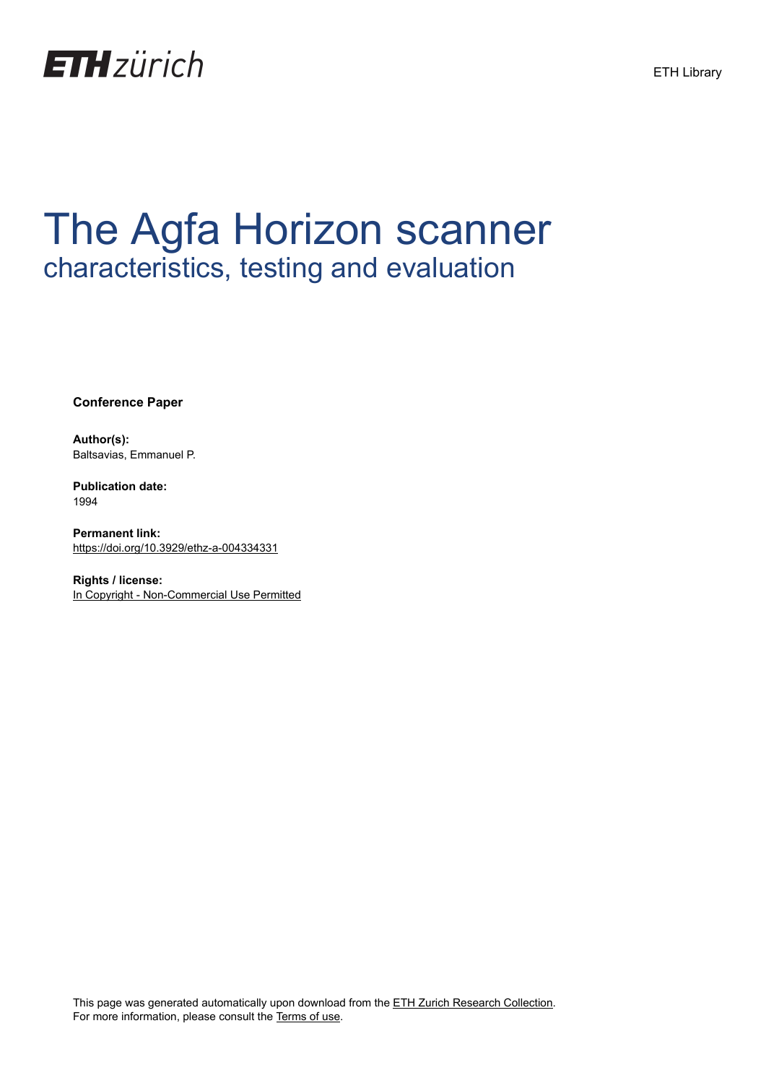

# The Agfa Horizon scanner characteristics, testing and evaluation

**Conference Paper**

**Author(s):** Baltsavias, Emmanuel P.

**Publication date:** 1994

**Permanent link:** <https://doi.org/10.3929/ethz-a-004334331>

**Rights / license:** [In Copyright - Non-Commercial Use Permitted](http://rightsstatements.org/page/InC-NC/1.0/)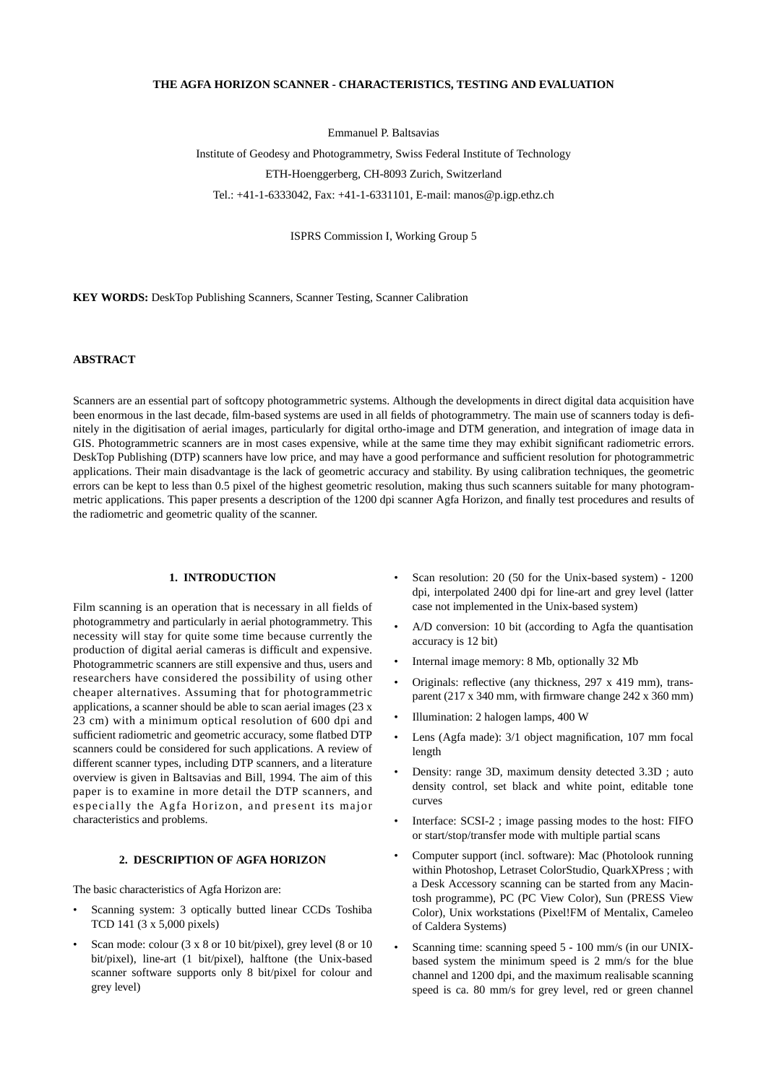# **THE AGFA HORIZON SCANNER - CHARACTERISTICS, TESTING AND EVALUATION**

Emmanuel P. Baltsavias

Institute of Geodesy and Photogrammetry, Swiss Federal Institute of Technology ETH-Hoenggerberg, CH-8093 Zurich, Switzerland Tel.: +41-1-6333042, Fax: +41-1-6331101, E-mail: manos@p.igp.ethz.ch

ISPRS Commission I, Working Group 5

**KEY WORDS:** DeskTop Publishing Scanners, Scanner Testing, Scanner Calibration

# **ABSTRACT**

Scanners are an essential part of softcopy photogrammetric systems. Although the developments in direct digital data acquisition have been enormous in the last decade, film-based systems are used in all fields of photogrammetry. The main use of scanners today is definitely in the digitisation of aerial images, particularly for digital ortho-image and DTM generation, and integration of image data in GIS. Photogrammetric scanners are in most cases expensive, while at the same time they may exhibit significant radiometric errors. DeskTop Publishing (DTP) scanners have low price, and may have a good performance and sufficient resolution for photogrammetric applications. Their main disadvantage is the lack of geometric accuracy and stability. By using calibration techniques, the geometric errors can be kept to less than 0.5 pixel of the highest geometric resolution, making thus such scanners suitable for many photogrammetric applications. This paper presents a description of the 1200 dpi scanner Agfa Horizon, and finally test procedures and results of the radiometric and geometric quality of the scanner.

## **1. INTRODUCTION**

Film scanning is an operation that is necessary in all fields of photogrammetry and particularly in aerial photogrammetry. This necessity will stay for quite some time because currently the production of digital aerial cameras is difficult and expensive. Photogrammetric scanners are still expensive and thus, users and researchers have considered the possibility of using other cheaper alternatives. Assuming that for photogrammetric applications, a scanner should be able to scan aerial images (23 x 23 cm) with a minimum optical resolution of 600 dpi and sufficient radiometric and geometric accuracy, some flatbed DTP scanners could be considered for such applications. A review of different scanner types, including DTP scanners, and a literature overview is given in Baltsavias and Bill, 1994. The aim of this paper is to examine in more detail the DTP scanners, and especially the Agfa Horizon, and present its major characteristics and problems.

## **2. DESCRIPTION OF AGFA HORIZON**

The basic characteristics of Agfa Horizon are:

- Scanning system: 3 optically butted linear CCDs Toshiba TCD 141 (3 x 5,000 pixels)
- Scan mode: colour (3 x 8 or 10 bit/pixel), grey level (8 or 10 bit/pixel), line-art (1 bit/pixel), halftone (the Unix-based scanner software supports only 8 bit/pixel for colour and grey level)
- Scan resolution: 20 (50 for the Unix-based system) 1200 dpi, interpolated 2400 dpi for line-art and grey level (latter case not implemented in the Unix-based system)
- A/D conversion: 10 bit (according to Agfa the quantisation accuracy is 12 bit)
- Internal image memory: 8 Mb, optionally 32 Mb
- Originals: reflective (any thickness, 297 x 419 mm), transparent (217 x 340 mm, with firmware change 242 x 360 mm)
- Illumination: 2 halogen lamps, 400 W
- Lens (Agfa made): 3/1 object magnification, 107 mm focal length
- Density: range 3D, maximum density detected 3.3D ; auto density control, set black and white point, editable tone curves
- Interface: SCSI-2 ; image passing modes to the host: FIFO or start/stop/transfer mode with multiple partial scans
- Computer support (incl. software): Mac (Photolook running within Photoshop, Letraset ColorStudio, QuarkXPress ; with a Desk Accessory scanning can be started from any Macintosh programme), PC (PC View Color), Sun (PRESS View Color), Unix workstations (Pixel!FM of Mentalix, Cameleo of Caldera Systems)
- Scanning time: scanning speed 5 100 mm/s (in our UNIXbased system the minimum speed is 2 mm/s for the blue channel and 1200 dpi, and the maximum realisable scanning speed is ca. 80 mm/s for grey level, red or green channel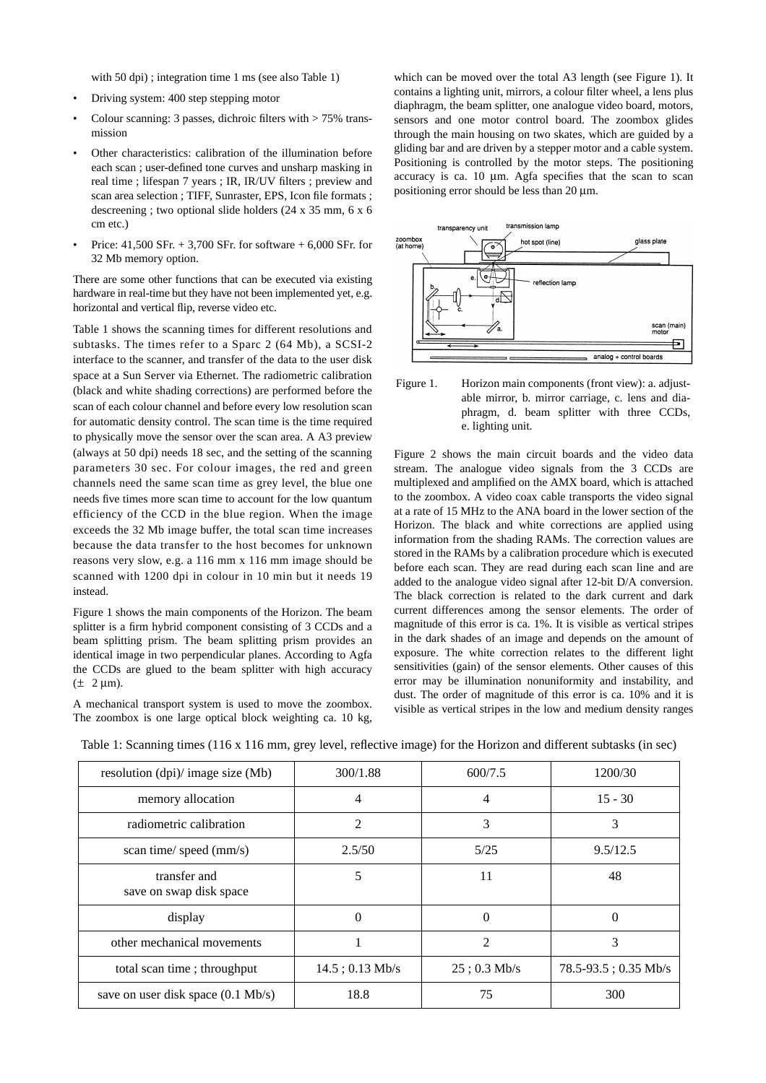with 50 dpi); integration time 1 ms (see also Table 1)

- Driving system: 400 step stepping motor
- Colour scanning: 3 passes, dichroic filters with > 75% transmission
- Other characteristics: calibration of the illumination before each scan ; user-defined tone curves and unsharp masking in real time ; lifespan 7 years ; IR, IR/UV filters ; preview and scan area selection ; TIFF, Sunraster, EPS, Icon file formats ; descreening ; two optional slide holders (24 x 35 mm, 6 x 6 cm etc.)
- Price: 41,500 SFr. + 3,700 SFr. for software + 6,000 SFr. for 32 Mb memory option.

There are some other functions that can be executed via existing hardware in real-time but they have not been implemented yet, e.g. horizontal and vertical flip, reverse video etc.

Table 1 shows the scanning times for different resolutions and subtasks. The times refer to a Sparc 2 (64 Mb), a SCSI-2 interface to the scanner, and transfer of the data to the user disk space at a Sun Server via Ethernet. The radiometric calibration (black and white shading corrections) are performed before the scan of each colour channel and before every low resolution scan for automatic density control. The scan time is the time required to physically move the sensor over the scan area. A A3 preview (always at 50 dpi) needs 18 sec, and the setting of the scanning parameters 30 sec. For colour images, the red and green channels need the same scan time as grey level, the blue one needs five times more scan time to account for the low quantum efficiency of the CCD in the blue region. When the image exceeds the 32 Mb image buffer, the total scan time increases because the data transfer to the host becomes for unknown reasons very slow, e.g. a 116 mm x 116 mm image should be scanned with 1200 dpi in colour in 10 min but it needs 19 instead.

Figure 1 shows the main components of the Horizon. The beam splitter is a firm hybrid component consisting of 3 CCDs and a beam splitting prism. The beam splitting prism provides an identical image in two perpendicular planes. According to Agfa the CCDs are glued to the beam splitter with high accuracy  $(\pm 2 \mu m)$ .

A mechanical transport system is used to move the zoombox. The zoombox is one large optical block weighting ca. 10 kg,

which can be moved over the total A3 length (see Figure 1). It contains a lighting unit, mirrors, a colour filter wheel, a lens plus diaphragm, the beam splitter, one analogue video board, motors, sensors and one motor control board. The zoombox glides through the main housing on two skates, which are guided by a gliding bar and are driven by a stepper motor and a cable system. Positioning is controlled by the motor steps. The positioning accuracy is ca.  $10 \mu m$ . Agfa specifies that the scan to scan positioning error should be less than 20 µm.



Figure 1. Horizon main components (front view): a. adjustable mirror, b. mirror carriage, c. lens and diaphragm, d. beam splitter with three CCDs, e. lighting unit.

Figure 2 shows the main circuit boards and the video data stream. The analogue video signals from the 3 CCDs are multiplexed and amplified on the AMX board, which is attached to the zoombox. A video coax cable transports the video signal at a rate of 15 MHz to the ANA board in the lower section of the Horizon. The black and white corrections are applied using information from the shading RAMs. The correction values are stored in the RAMs by a calibration procedure which is executed before each scan. They are read during each scan line and are added to the analogue video signal after 12-bit D/A conversion. The black correction is related to the dark current and dark current differences among the sensor elements. The order of magnitude of this error is ca. 1%. It is visible as vertical stripes in the dark shades of an image and depends on the amount of exposure. The white correction relates to the different light sensitivities (gain) of the sensor elements. Other causes of this error may be illumination nonuniformity and instability, and dust. The order of magnitude of this error is ca. 10% and it is visible as vertical stripes in the low and medium density ranges

Table 1: Scanning times (116 x 116 mm, grey level, reflective image) for the Horizon and different subtasks (in sec)

| resolution $(dpi)/$ image size $(Mb)$        | 300/1.88          | 600/7.5        | 1200/30                   |
|----------------------------------------------|-------------------|----------------|---------------------------|
| memory allocation                            | 4                 | 4              | $15 - 30$                 |
| radiometric calibration                      | $\overline{2}$    | 3              | 3                         |
| scan time/ speed (mm/s)                      | 2.5/50            | 5/25           | 9.5/12.5                  |
| transfer and<br>save on swap disk space      | 5                 | 11             | 48                        |
| display                                      | $\Omega$          | $\Omega$       | 0                         |
| other mechanical movements                   | 1                 | $\overline{2}$ | 3                         |
| total scan time; throughput                  | $14.5: 0.13$ Mb/s | $25:0.3$ Mb/s  | $78.5 - 93.5$ ; 0.35 Mb/s |
| save on user disk space $(0.1 \text{ Mb/s})$ | 18.8              | 75             | 300                       |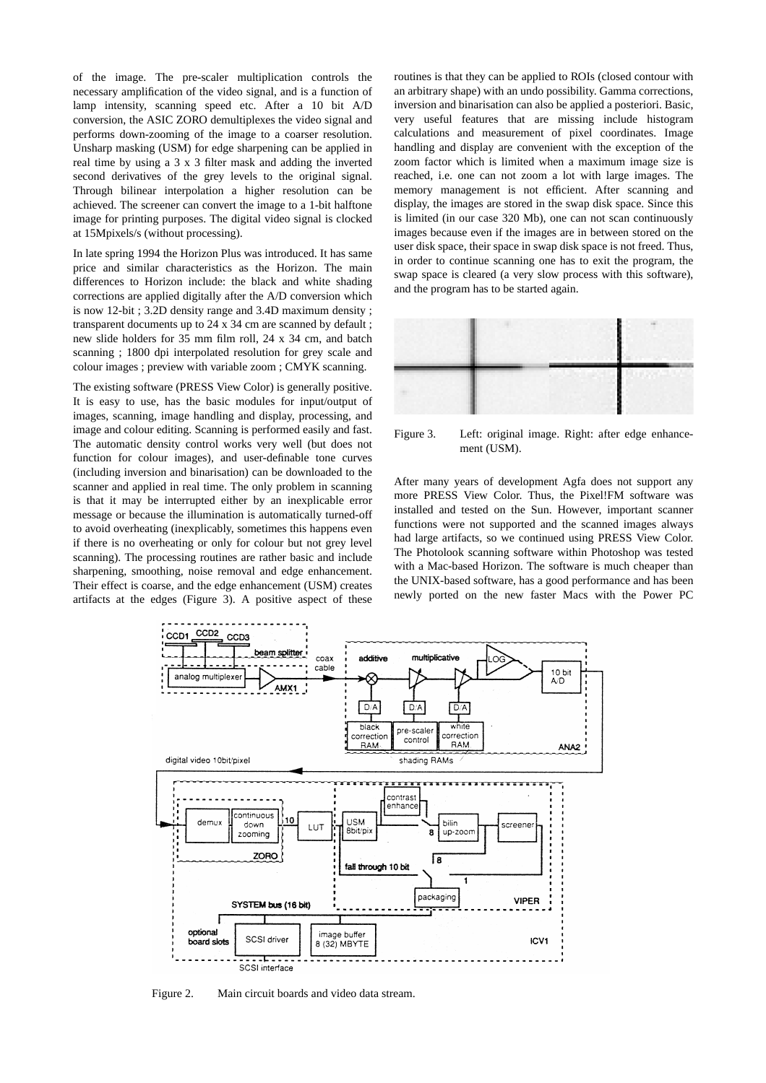of the image. The pre-scaler multiplication controls the necessary amplification of the video signal, and is a function of lamp intensity, scanning speed etc. After a 10 bit A/D conversion, the ASIC ZORO demultiplexes the video signal and performs down-zooming of the image to a coarser resolution. Unsharp masking (USM) for edge sharpening can be applied in real time by using a 3 x 3 filter mask and adding the inverted second derivatives of the grey levels to the original signal. Through bilinear interpolation a higher resolution can be achieved. The screener can convert the image to a 1-bit halftone image for printing purposes. The digital video signal is clocked at 15Mpixels/s (without processing).

In late spring 1994 the Horizon Plus was introduced. It has same price and similar characteristics as the Horizon. The main differences to Horizon include: the black and white shading corrections are applied digitally after the A/D conversion which is now 12-bit ; 3.2D density range and 3.4D maximum density ; transparent documents up to 24 x 34 cm are scanned by default ; new slide holders for 35 mm film roll, 24 x 34 cm, and batch scanning ; 1800 dpi interpolated resolution for grey scale and colour images ; preview with variable zoom ; CMYK scanning.

The existing software (PRESS View Color) is generally positive. It is easy to use, has the basic modules for input/output of images, scanning, image handling and display, processing, and image and colour editing. Scanning is performed easily and fast. The automatic density control works very well (but does not function for colour images), and user-definable tone curves (including inversion and binarisation) can be downloaded to the scanner and applied in real time. The only problem in scanning is that it may be interrupted either by an inexplicable error message or because the illumination is automatically turned-off to avoid overheating (inexplicably, sometimes this happens even if there is no overheating or only for colour but not grey level scanning). The processing routines are rather basic and include sharpening, smoothing, noise removal and edge enhancement. Their effect is coarse, and the edge enhancement (USM) creates artifacts at the edges (Figure 3). A positive aspect of these

routines is that they can be applied to ROIs (closed contour with an arbitrary shape) with an undo possibility. Gamma corrections, inversion and binarisation can also be applied a posteriori. Basic, very useful features that are missing include histogram calculations and measurement of pixel coordinates. Image handling and display are convenient with the exception of the zoom factor which is limited when a maximum image size is reached, i.e. one can not zoom a lot with large images. The memory management is not efficient. After scanning and display, the images are stored in the swap disk space. Since this is limited (in our case 320 Mb), one can not scan continuously images because even if the images are in between stored on the user disk space, their space in swap disk space is not freed. Thus, in order to continue scanning one has to exit the program, the swap space is cleared (a very slow process with this software), and the program has to be started again.



Figure 3. Left: original image. Right: after edge enhancement (USM).

After many years of development Agfa does not support any more PRESS View Color. Thus, the Pixel!FM software was installed and tested on the Sun. However, important scanner functions were not supported and the scanned images always had large artifacts, so we continued using PRESS View Color. The Photolook scanning software within Photoshop was tested with a Mac-based Horizon. The software is much cheaper than the UNIX-based software, has a good performance and has been newly ported on the new faster Macs with the Power PC



Figure 2. Main circuit boards and video data stream.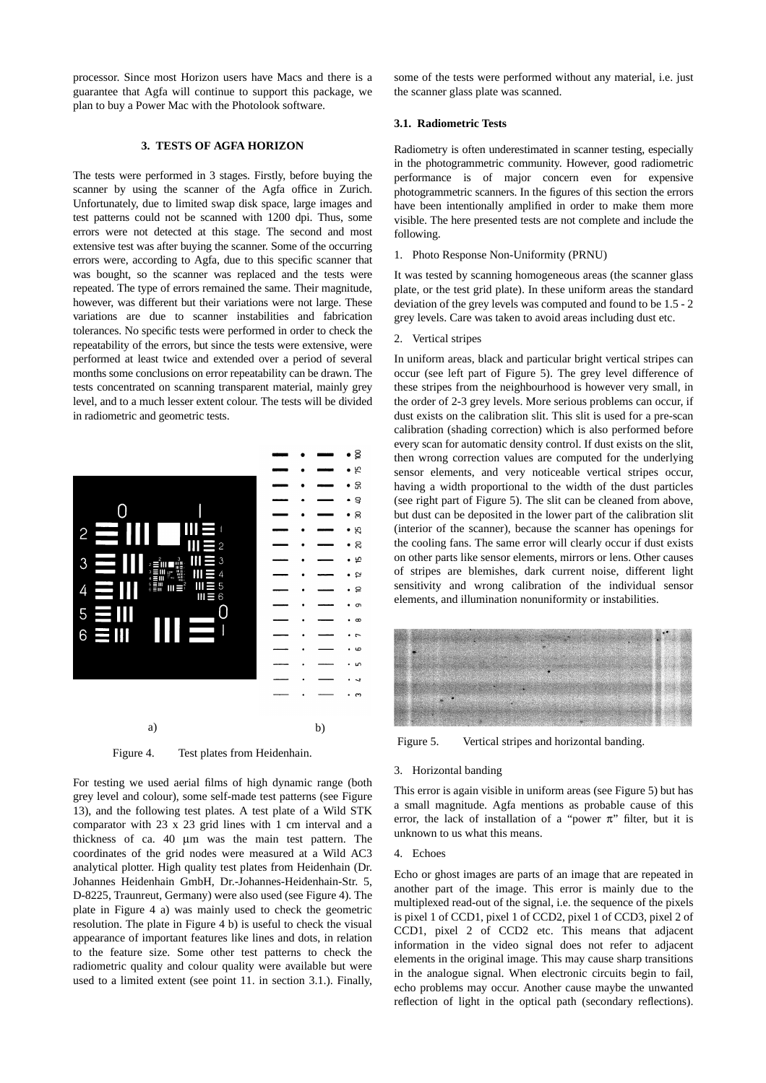processor. Since most Horizon users have Macs and there is a guarantee that Agfa will continue to support this package, we plan to buy a Power Mac with the Photolook software.

# **3. TESTS OF AGFA HORIZON**

The tests were performed in 3 stages. Firstly, before buying the scanner by using the scanner of the Agfa office in Zurich. Unfortunately, due to limited swap disk space, large images and test patterns could not be scanned with 1200 dpi. Thus, some errors were not detected at this stage. The second and most extensive test was after buying the scanner. Some of the occurring errors were, according to Agfa, due to this specific scanner that was bought, so the scanner was replaced and the tests were repeated. The type of errors remained the same. Their magnitude, however, was different but their variations were not large. These variations are due to scanner instabilities and fabrication tolerances. No specific tests were performed in order to check the repeatability of the errors, but since the tests were extensive, were performed at least twice and extended over a period of several months some conclusions on error repeatability can be drawn. The tests concentrated on scanning transparent material, mainly grey level, and to a much lesser extent colour. The tests will be divided in radiometric and geometric tests.



Figure 4. Test plates from Heidenhain.

For testing we used aerial films of high dynamic range (both grey level and colour), some self-made test patterns (see Figure 13), and the following test plates. A test plate of a Wild STK comparator with 23 x 23 grid lines with 1 cm interval and a thickness of ca. 40 µm was the main test pattern. The coordinates of the grid nodes were measured at a Wild AC3 analytical plotter. High quality test plates from Heidenhain (Dr. Johannes Heidenhain GmbH, Dr.-Johannes-Heidenhain-Str. 5, D-8225, Traunreut, Germany) were also used (see Figure 4). The plate in Figure 4 a) was mainly used to check the geometric resolution. The plate in Figure 4 b) is useful to check the visual appearance of important features like lines and dots, in relation to the feature size. Some other test patterns to check the radiometric quality and colour quality were available but were used to a limited extent (see point 11. in section 3.1.). Finally,

some of the tests were performed without any material, i.e. just the scanner glass plate was scanned.

# **3.1. Radiometric Tests**

Radiometry is often underestimated in scanner testing, especially in the photogrammetric community. However, good radiometric performance is of major concern even for expensive photogrammetric scanners. In the figures of this section the errors have been intentionally amplified in order to make them more visible. The here presented tests are not complete and include the following.

1. Photo Response Non-Uniformity (PRNU)

It was tested by scanning homogeneous areas (the scanner glass plate, or the test grid plate). In these uniform areas the standard deviation of the grey levels was computed and found to be 1.5 - 2 grey levels. Care was taken to avoid areas including dust etc.

#### 2. Vertical stripes

In uniform areas, black and particular bright vertical stripes can occur (see left part of Figure 5). The grey level difference of these stripes from the neighbourhood is however very small, in the order of 2-3 grey levels. More serious problems can occur, if dust exists on the calibration slit. This slit is used for a pre-scan calibration (shading correction) which is also performed before every scan for automatic density control. If dust exists on the slit, then wrong correction values are computed for the underlying sensor elements, and very noticeable vertical stripes occur, having a width proportional to the width of the dust particles (see right part of Figure 5). The slit can be cleaned from above, but dust can be deposited in the lower part of the calibration slit (interior of the scanner), because the scanner has openings for the cooling fans. The same error will clearly occur if dust exists on other parts like sensor elements, mirrors or lens. Other causes of stripes are blemishes, dark current noise, different light sensitivity and wrong calibration of the individual sensor elements, and illumination nonuniformity or instabilities.



Figure 5. Vertical stripes and horizontal banding.

#### 3. Horizontal banding

This error is again visible in uniform areas (see Figure 5) but has a small magnitude. Agfa mentions as probable cause of this error, the lack of installation of a "power  $\pi$ " filter, but it is unknown to us what this means.

#### 4. Echoes

Echo or ghost images are parts of an image that are repeated in another part of the image. This error is mainly due to the multiplexed read-out of the signal, i.e. the sequence of the pixels is pixel 1 of CCD1, pixel 1 of CCD2, pixel 1 of CCD3, pixel 2 of CCD1, pixel 2 of CCD2 etc. This means that adjacent information in the video signal does not refer to adjacent elements in the original image. This may cause sharp transitions in the analogue signal. When electronic circuits begin to fail, echo problems may occur. Another cause maybe the unwanted reflection of light in the optical path (secondary reflections).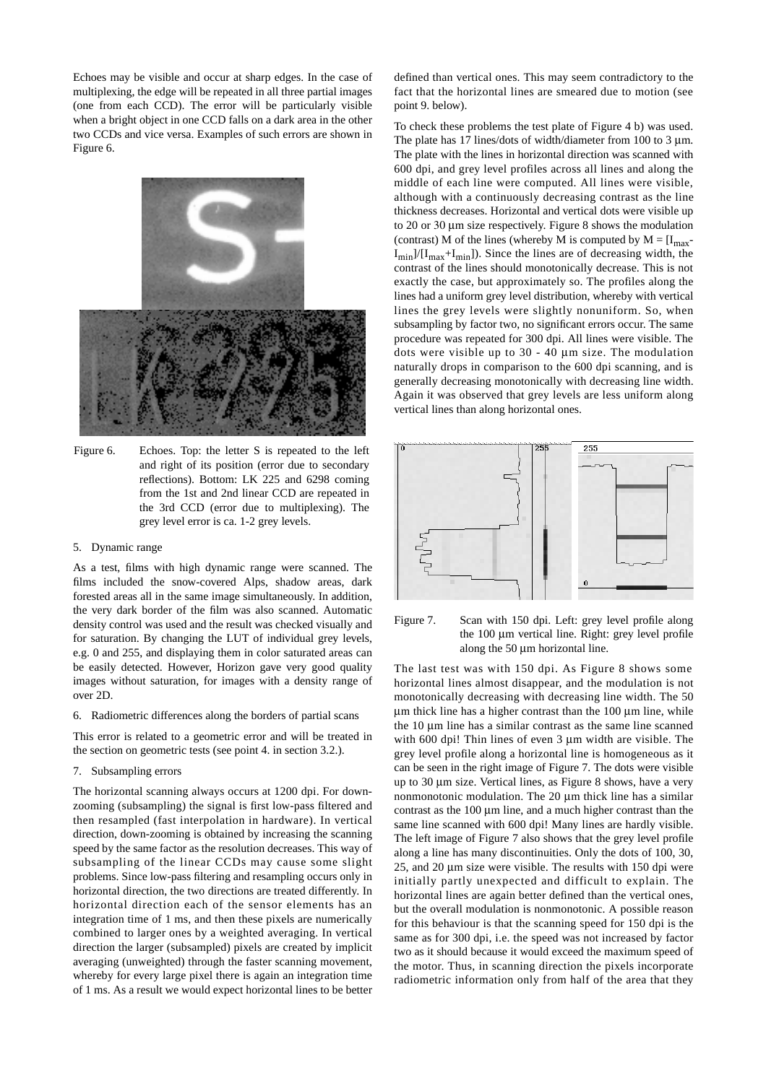Echoes may be visible and occur at sharp edges. In the case of multiplexing, the edge will be repeated in all three partial images (one from each CCD). The error will be particularly visible when a bright object in one CCD falls on a dark area in the other two CCDs and vice versa. Examples of such errors are shown in Figure 6.



- Figure 6. Echoes. Top: the letter S is repeated to the left and right of its position (error due to secondary reflections). Bottom: LK 225 and 6298 coming from the 1st and 2nd linear CCD are repeated in the 3rd CCD (error due to multiplexing). The grey level error is ca. 1-2 grey levels.
- 5. Dynamic range

As a test, films with high dynamic range were scanned. The films included the snow-covered Alps, shadow areas, dark forested areas all in the same image simultaneously. In addition, the very dark border of the film was also scanned. Automatic density control was used and the result was checked visually and for saturation. By changing the LUT of individual grey levels, e.g. 0 and 255, and displaying them in color saturated areas can be easily detected. However, Horizon gave very good quality images without saturation, for images with a density range of over 2D.

6. Radiometric differences along the borders of partial scans

This error is related to a geometric error and will be treated in the section on geometric tests (see point 4. in section 3.2.).

## 7. Subsampling errors

The horizontal scanning always occurs at 1200 dpi. For downzooming (subsampling) the signal is first low-pass filtered and then resampled (fast interpolation in hardware). In vertical direction, down-zooming is obtained by increasing the scanning speed by the same factor as the resolution decreases. This way of subsampling of the linear CCDs may cause some slight problems. Since low-pass filtering and resampling occurs only in horizontal direction, the two directions are treated differently. In horizontal direction each of the sensor elements has an integration time of 1 ms, and then these pixels are numerically combined to larger ones by a weighted averaging. In vertical direction the larger (subsampled) pixels are created by implicit averaging (unweighted) through the faster scanning movement, whereby for every large pixel there is again an integration time of 1 ms. As a result we would expect horizontal lines to be better defined than vertical ones. This may seem contradictory to the fact that the horizontal lines are smeared due to motion (see point 9. below).

To check these problems the test plate of Figure 4 b) was used. The plate has 17 lines/dots of width/diameter from 100 to 3  $\mu$ m. The plate with the lines in horizontal direction was scanned with 600 dpi, and grey level profiles across all lines and along the middle of each line were computed. All lines were visible, although with a continuously decreasing contrast as the line thickness decreases. Horizontal and vertical dots were visible up to 20 or 30 µm size respectively. Figure 8 shows the modulation (contrast) M of the lines (whereby M is computed by  $M = [I_{max} - I_{max}]$  $I_{\text{min}}/(I_{\text{max}}+I_{\text{min}})$ . Since the lines are of decreasing width, the contrast of the lines should monotonically decrease. This is not exactly the case, but approximately so. The profiles along the lines had a uniform grey level distribution, whereby with vertical lines the grey levels were slightly nonuniform. So, when subsampling by factor two, no significant errors occur. The same procedure was repeated for 300 dpi. All lines were visible. The dots were visible up to 30 - 40 µm size. The modulation naturally drops in comparison to the 600 dpi scanning, and is generally decreasing monotonically with decreasing line width. Again it was observed that grey levels are less uniform along vertical lines than along horizontal ones.





The last test was with 150 dpi. As Figure 8 shows some horizontal lines almost disappear, and the modulation is not monotonically decreasing with decreasing line width. The 50  $\mu$ m thick line has a higher contrast than the 100  $\mu$ m line, while the 10 µm line has a similar contrast as the same line scanned with 600 dpi! Thin lines of even 3 µm width are visible. The grey level profile along a horizontal line is homogeneous as it can be seen in the right image of Figure 7. The dots were visible up to 30 µm size. Vertical lines, as Figure 8 shows, have a very nonmonotonic modulation. The 20  $\mu$ m thick line has a similar contrast as the 100 µm line, and a much higher contrast than the same line scanned with 600 dpi! Many lines are hardly visible. The left image of Figure 7 also shows that the grey level profile along a line has many discontinuities. Only the dots of 100, 30, 25, and 20 µm size were visible. The results with 150 dpi were initially partly unexpected and difficult to explain. The horizontal lines are again better defined than the vertical ones, but the overall modulation is nonmonotonic. A possible reason for this behaviour is that the scanning speed for 150 dpi is the same as for 300 dpi, i.e. the speed was not increased by factor two as it should because it would exceed the maximum speed of the motor. Thus, in scanning direction the pixels incorporate radiometric information only from half of the area that they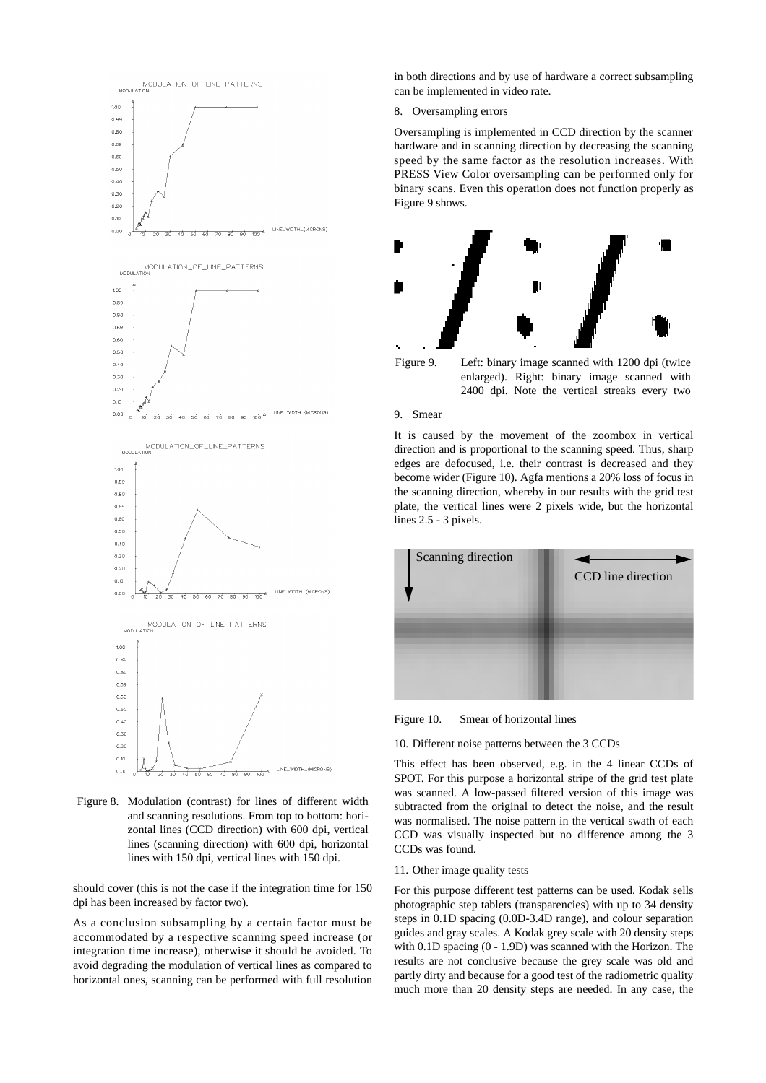

Figure 8. Modulation (contrast) for lines of different width and scanning resolutions. From top to bottom: horizontal lines (CCD direction) with 600 dpi, vertical lines (scanning direction) with 600 dpi, horizontal lines with 150 dpi, vertical lines with 150 dpi.

should cover (this is not the case if the integration time for 150 dpi has been increased by factor two).

As a conclusion subsampling by a certain factor must be accommodated by a respective scanning speed increase (or integration time increase), otherwise it should be avoided. To avoid degrading the modulation of vertical lines as compared to horizontal ones, scanning can be performed with full resolution in both directions and by use of hardware a correct subsampling can be implemented in video rate.

#### 8. Oversampling errors

Oversampling is implemented in CCD direction by the scanner hardware and in scanning direction by decreasing the scanning speed by the same factor as the resolution increases. With PRESS View Color oversampling can be performed only for binary scans. Even this operation does not function properly as Figure 9 shows.





# 9. Smear

It is caused by the movement of the zoombox in vertical direction and is proportional to the scanning speed. Thus, sharp edges are defocused, i.e. their contrast is decreased and they become wider (Figure 10). Agfa mentions a 20% loss of focus in the scanning direction, whereby in our results with the grid test plate, the vertical lines were 2 pixels wide, but the horizontal lines 2.5 - 3 pixels.



Figure 10. Smear of horizontal lines

## 10. Different noise patterns between the 3 CCDs

This effect has been observed, e.g. in the 4 linear CCDs of SPOT. For this purpose a horizontal stripe of the grid test plate was scanned. A low-passed filtered version of this image was subtracted from the original to detect the noise, and the result was normalised. The noise pattern in the vertical swath of each CCD was visually inspected but no difference among the 3 CCDs was found.

#### 11. Other image quality tests

For this purpose different test patterns can be used. Kodak sells photographic step tablets (transparencies) with up to 34 density steps in 0.1D spacing (0.0D-3.4D range), and colour separation guides and gray scales. A Kodak grey scale with 20 density steps with 0.1D spacing (0 - 1.9D) was scanned with the Horizon. The results are not conclusive because the grey scale was old and partly dirty and because for a good test of the radiometric quality much more than 20 density steps are needed. In any case, the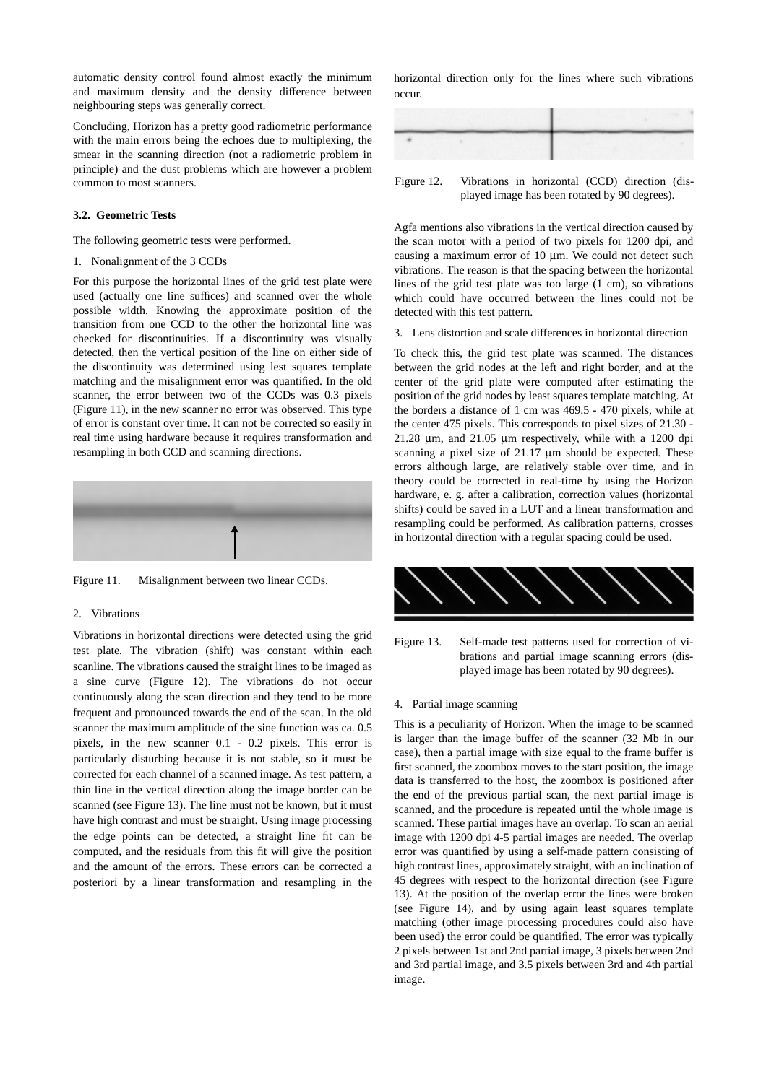automatic density control found almost exactly the minimum and maximum density and the density difference between neighbouring steps was generally correct.

Concluding, Horizon has a pretty good radiometric performance with the main errors being the echoes due to multiplexing, the smear in the scanning direction (not a radiometric problem in principle) and the dust problems which are however a problem common to most scanners.

#### **3.2. Geometric Tests**

The following geometric tests were performed.

1. Nonalignment of the 3 CCDs

For this purpose the horizontal lines of the grid test plate were used (actually one line suffices) and scanned over the whole possible width. Knowing the approximate position of the transition from one CCD to the other the horizontal line was checked for discontinuities. If a discontinuity was visually detected, then the vertical position of the line on either side of the discontinuity was determined using lest squares template matching and the misalignment error was quantified. In the old scanner, the error between two of the CCDs was 0.3 pixels (Figure 11), in the new scanner no error was observed. This type of error is constant over time. It can not be corrected so easily in real time using hardware because it requires transformation and resampling in both CCD and scanning directions.



Figure 11. Misalignment between two linear CCDs.

## 2. Vibrations

Vibrations in horizontal directions were detected using the grid test plate. The vibration (shift) was constant within each scanline. The vibrations caused the straight lines to be imaged as a sine curve (Figure 12). The vibrations do not occur continuously along the scan direction and they tend to be more frequent and pronounced towards the end of the scan. In the old scanner the maximum amplitude of the sine function was ca. 0.5 pixels, in the new scanner 0.1 - 0.2 pixels. This error is particularly disturbing because it is not stable, so it must be corrected for each channel of a scanned image. As test pattern, a thin line in the vertical direction along the image border can be scanned (see Figure 13). The line must not be known, but it must have high contrast and must be straight. Using image processing the edge points can be detected, a straight line fit can be computed, and the residuals from this fit will give the position and the amount of the errors. These errors can be corrected a posteriori by a linear transformation and resampling in the

horizontal direction only for the lines where such vibrations occur.

Figure 12. Vibrations in horizontal (CCD) direction (displayed image has been rotated by 90 degrees).

Agfa mentions also vibrations in the vertical direction caused by the scan motor with a period of two pixels for 1200 dpi, and causing a maximum error of 10 µm. We could not detect such vibrations. The reason is that the spacing between the horizontal lines of the grid test plate was too large (1 cm), so vibrations which could have occurred between the lines could not be detected with this test pattern.

3. Lens distortion and scale differences in horizontal direction

To check this, the grid test plate was scanned. The distances between the grid nodes at the left and right border, and at the center of the grid plate were computed after estimating the position of the grid nodes by least squares template matching. At the borders a distance of 1 cm was 469.5 - 470 pixels, while at the center 475 pixels. This corresponds to pixel sizes of 21.30 - 21.28 µm, and 21.05 µm respectively, while with a 1200 dpi scanning a pixel size of 21.17 µm should be expected. These errors although large, are relatively stable over time, and in theory could be corrected in real-time by using the Horizon hardware, e. g. after a calibration, correction values (horizontal shifts) could be saved in a LUT and a linear transformation and resampling could be performed. As calibration patterns, crosses in horizontal direction with a regular spacing could be used.



Figure 13. Self-made test patterns used for correction of vibrations and partial image scanning errors (displayed image has been rotated by 90 degrees).

# 4. Partial image scanning

This is a peculiarity of Horizon. When the image to be scanned is larger than the image buffer of the scanner (32 Mb in our case), then a partial image with size equal to the frame buffer is first scanned, the zoombox moves to the start position, the image data is transferred to the host, the zoombox is positioned after the end of the previous partial scan, the next partial image is scanned, and the procedure is repeated until the whole image is scanned. These partial images have an overlap. To scan an aerial image with 1200 dpi 4-5 partial images are needed. The overlap error was quantified by using a self-made pattern consisting of high contrast lines, approximately straight, with an inclination of 45 degrees with respect to the horizontal direction (see Figure 13). At the position of the overlap error the lines were broken (see Figure 14), and by using again least squares template matching (other image processing procedures could also have been used) the error could be quantified. The error was typically 2 pixels between 1st and 2nd partial image, 3 pixels between 2nd and 3rd partial image, and 3.5 pixels between 3rd and 4th partial image.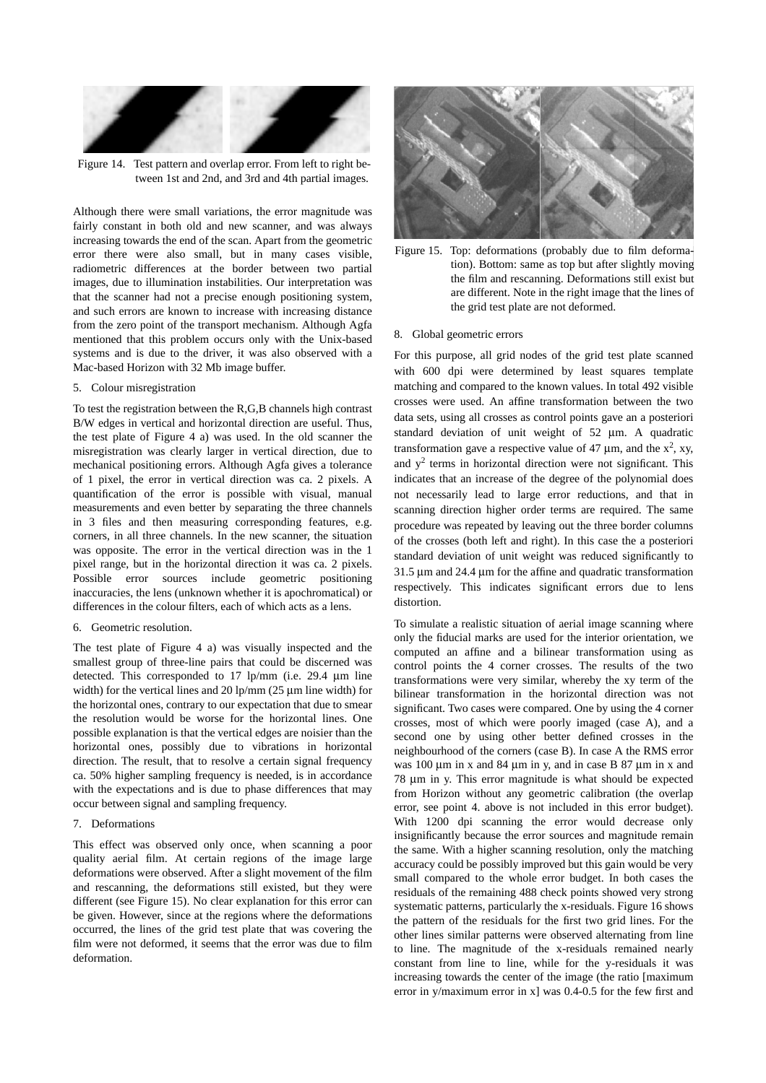

Figure 14. Test pattern and overlap error. From left to right between 1st and 2nd, and 3rd and 4th partial images.

Although there were small variations, the error magnitude was fairly constant in both old and new scanner, and was always increasing towards the end of the scan. Apart from the geometric error there were also small, but in many cases visible, radiometric differences at the border between two partial images, due to illumination instabilities. Our interpretation was that the scanner had not a precise enough positioning system, and such errors are known to increase with increasing distance from the zero point of the transport mechanism. Although Agfa mentioned that this problem occurs only with the Unix-based systems and is due to the driver, it was also observed with a Mac-based Horizon with 32 Mb image buffer.

## 5. Colour misregistration

To test the registration between the R,G,B channels high contrast B/W edges in vertical and horizontal direction are useful. Thus, the test plate of Figure 4 a) was used. In the old scanner the misregistration was clearly larger in vertical direction, due to mechanical positioning errors. Although Agfa gives a tolerance of 1 pixel, the error in vertical direction was ca. 2 pixels. A quantification of the error is possible with visual, manual measurements and even better by separating the three channels in 3 files and then measuring corresponding features, e.g. corners, in all three channels. In the new scanner, the situation was opposite. The error in the vertical direction was in the 1 pixel range, but in the horizontal direction it was ca. 2 pixels. Possible error sources include geometric positioning inaccuracies, the lens (unknown whether it is apochromatical) or differences in the colour filters, each of which acts as a lens.

## 6. Geometric resolution.

The test plate of Figure 4 a) was visually inspected and the smallest group of three-line pairs that could be discerned was detected. This corresponded to 17 lp/mm (i.e. 29.4 µm line width) for the vertical lines and 20 lp/mm (25  $\mu$ m line width) for the horizontal ones, contrary to our expectation that due to smear the resolution would be worse for the horizontal lines. One possible explanation is that the vertical edges are noisier than the horizontal ones, possibly due to vibrations in horizontal direction. The result, that to resolve a certain signal frequency ca. 50% higher sampling frequency is needed, is in accordance with the expectations and is due to phase differences that may occur between signal and sampling frequency.

# 7. Deformations

This effect was observed only once, when scanning a poor quality aerial film. At certain regions of the image large deformations were observed. After a slight movement of the film and rescanning, the deformations still existed, but they were different (see Figure 15). No clear explanation for this error can be given. However, since at the regions where the deformations occurred, the lines of the grid test plate that was covering the film were not deformed, it seems that the error was due to film deformation.



Figure 15. Top: deformations (probably due to film deformation). Bottom: same as top but after slightly moving the film and rescanning. Deformations still exist but are different. Note in the right image that the lines of the grid test plate are not deformed.

#### 8. Global geometric errors

For this purpose, all grid nodes of the grid test plate scanned with 600 dpi were determined by least squares template matching and compared to the known values. In total 492 visible crosses were used. An affine transformation between the two data sets, using all crosses as control points gave an a posteriori standard deviation of unit weight of 52 µm. A quadratic transformation gave a respective value of 47  $\mu$ m, and the x<sup>2</sup>, xy, and  $y^2$  terms in horizontal direction were not significant. This indicates that an increase of the degree of the polynomial does not necessarily lead to large error reductions, and that in scanning direction higher order terms are required. The same procedure was repeated by leaving out the three border columns of the crosses (both left and right). In this case the a posteriori standard deviation of unit weight was reduced significantly to 31.5 µm and 24.4 µm for the affine and quadratic transformation respectively. This indicates significant errors due to lens distortion.

To simulate a realistic situation of aerial image scanning where only the fiducial marks are used for the interior orientation, we computed an affine and a bilinear transformation using as control points the 4 corner crosses. The results of the two transformations were very similar, whereby the xy term of the bilinear transformation in the horizontal direction was not significant. Two cases were compared. One by using the 4 corner crosses, most of which were poorly imaged (case A), and a second one by using other better defined crosses in the neighbourhood of the corners (case B). In case A the RMS error was 100  $\mu$ m in x and 84  $\mu$ m in y, and in case B 87  $\mu$ m in x and 78 µm in y. This error magnitude is what should be expected from Horizon without any geometric calibration (the overlap error, see point 4. above is not included in this error budget). With 1200 dpi scanning the error would decrease only insignificantly because the error sources and magnitude remain the same. With a higher scanning resolution, only the matching accuracy could be possibly improved but this gain would be very small compared to the whole error budget. In both cases the residuals of the remaining 488 check points showed very strong systematic patterns, particularly the x-residuals. Figure 16 shows the pattern of the residuals for the first two grid lines. For the other lines similar patterns were observed alternating from line to line. The magnitude of the x-residuals remained nearly constant from line to line, while for the y-residuals it was increasing towards the center of the image (the ratio [maximum error in y/maximum error in x] was 0.4-0.5 for the few first and